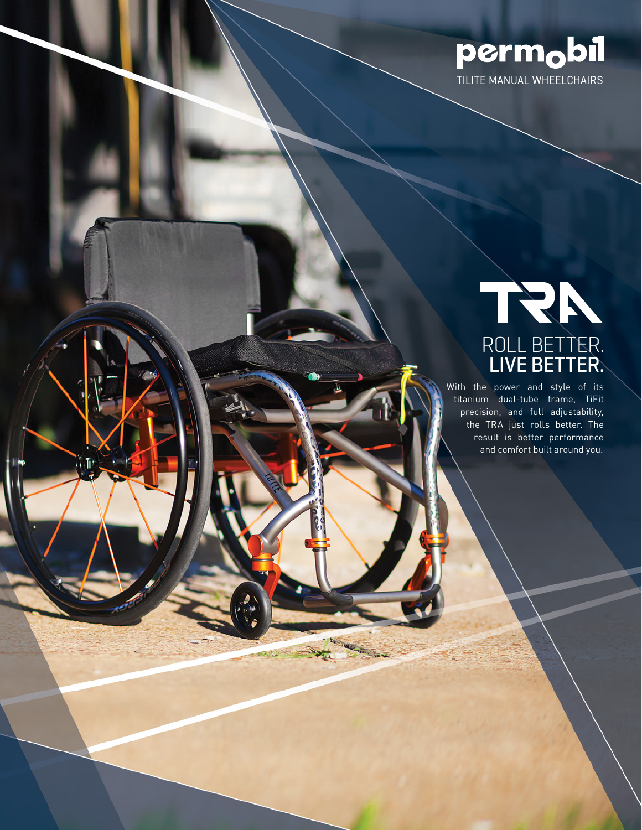

## ROLL BETTER. LIVE BETTER.

With the power and style of its titanium dual-tube frame, TiFit precision, and full adjustability, the TRA just rolls better. The result is better performance and comfort built around you.